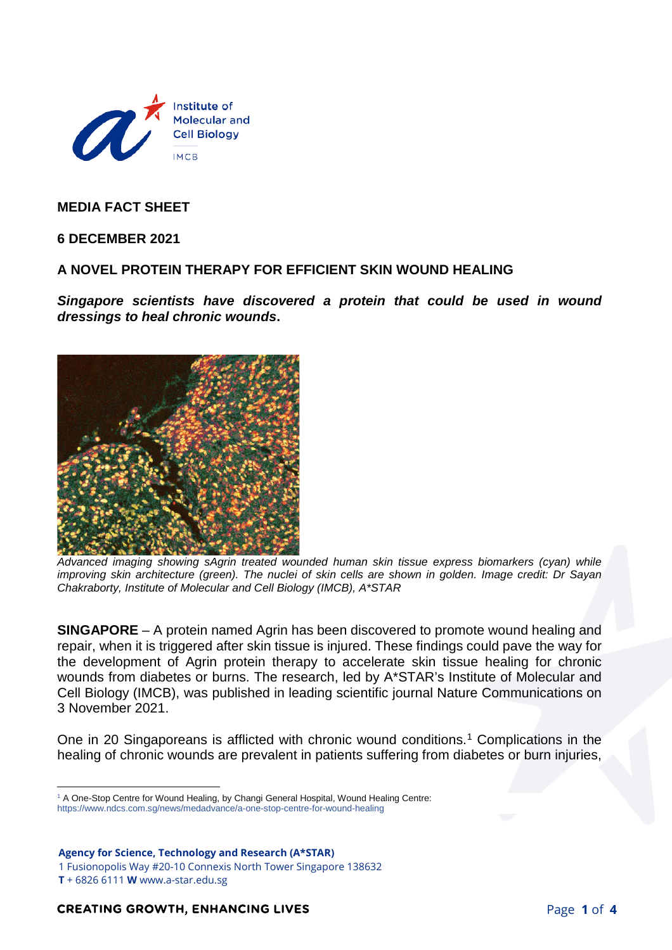

**MEDIA FACT SHEET**

**6 DECEMBER 2021**

## **A NOVEL PROTEIN THERAPY FOR EFFICIENT SKIN WOUND HEALING**

*Singapore scientists have discovered a protein that could be used in wound dressings to heal chronic wounds***.**



*Advanced imaging showing sAgrin treated wounded human skin tissue express biomarkers (cyan) while improving skin architecture (green). The nuclei of skin cells are shown in golden. Image credit: Dr Sayan Chakraborty, Institute of Molecular and Cell Biology (IMCB), A\*STAR*

**SINGAPORE** – A protein named Agrin has been discovered to promote wound healing and repair, when it is triggered after skin tissue is injured. These findings could pave the way for the development of Agrin protein therapy to accelerate skin tissue healing for chronic wounds from diabetes or burns. The research, led by A\*STAR's Institute of Molecular and Cell Biology (IMCB), was published in leading scientific journal Nature Communications on 3 November 2021.

One in 20 Singaporeans is afflicted with chronic wound conditions.<sup>[1](#page-0-0)</sup> Complications in the healing of chronic wounds are prevalent in patients suffering from diabetes or burn injuries,

1 Fusionopolis Way #20-10 Connexis North Tower Singapore 138632

<span id="page-0-0"></span> $\overline{a}$ <sup>1</sup> A One-Stop Centre for Wound Healing, by Changi General Hospital, Wound Healing Centre: https://www.ndcs.com.sg/news/medadvance/a-one-stop-centre-for-wound-healing

**Agency for Science, Technology and Research (A\*STAR)** 

**T** + 6826 6111 **W** www.a-star.edu.sg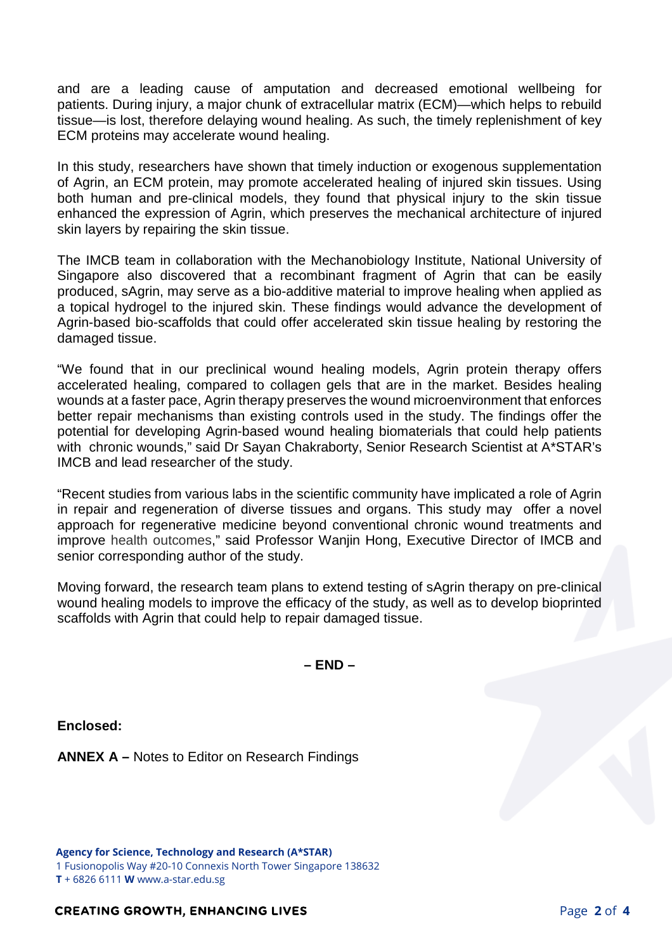and are a leading cause of amputation and decreased emotional wellbeing for patients. During injury, a major chunk of extracellular matrix (ECM)—which helps to rebuild tissue—is lost, therefore delaying wound healing. As such, the timely replenishment of key ECM proteins may accelerate wound healing.

In this study, researchers have shown that timely induction or exogenous supplementation of Agrin, an ECM protein, may promote accelerated healing of injured skin tissues. Using both human and pre-clinical models, they found that physical injury to the skin tissue enhanced the expression of Agrin, which preserves the mechanical architecture of injured skin layers by repairing the skin tissue.

The IMCB team in collaboration with the Mechanobiology Institute, National University of Singapore also discovered that a recombinant fragment of Agrin that can be easily produced, sAgrin, may serve as a bio-additive material to improve healing when applied as a topical hydrogel to the injured skin. These findings would advance the development of Agrin-based bio-scaffolds that could offer accelerated skin tissue healing by restoring the damaged tissue.

"We found that in our preclinical wound healing models, Agrin protein therapy offers accelerated healing, compared to collagen gels that are in the market. Besides healing wounds at a faster pace, Agrin therapy preserves the wound microenvironment that enforces better repair mechanisms than existing controls used in the study. The findings offer the potential for developing Agrin-based wound healing biomaterials that could help patients with chronic wounds," said Dr Sayan Chakraborty, Senior Research Scientist at A\*STAR's IMCB and lead researcher of the study.

"Recent studies from various labs in the scientific community have implicated a role of Agrin in repair and regeneration of diverse tissues and organs. This study may offer a novel approach for regenerative medicine beyond conventional chronic wound treatments and improve health outcomes," said Professor Wanjin Hong, Executive Director of IMCB and senior corresponding author of the study.

Moving forward, the research team plans to extend testing of sAgrin therapy on pre-clinical wound healing models to improve the efficacy of the study, as well as to develop bioprinted scaffolds with Agrin that could help to repair damaged tissue.

**– END –**

**Enclosed:**

**ANNEX A –** Notes to Editor on Research Findings

**Agency for Science, Technology and Research (A\*STAR)**  1 Fusionopolis Way #20-10 Connexis North Tower Singapore 138632 **T** + 6826 6111 **W** www.a-star.edu.sg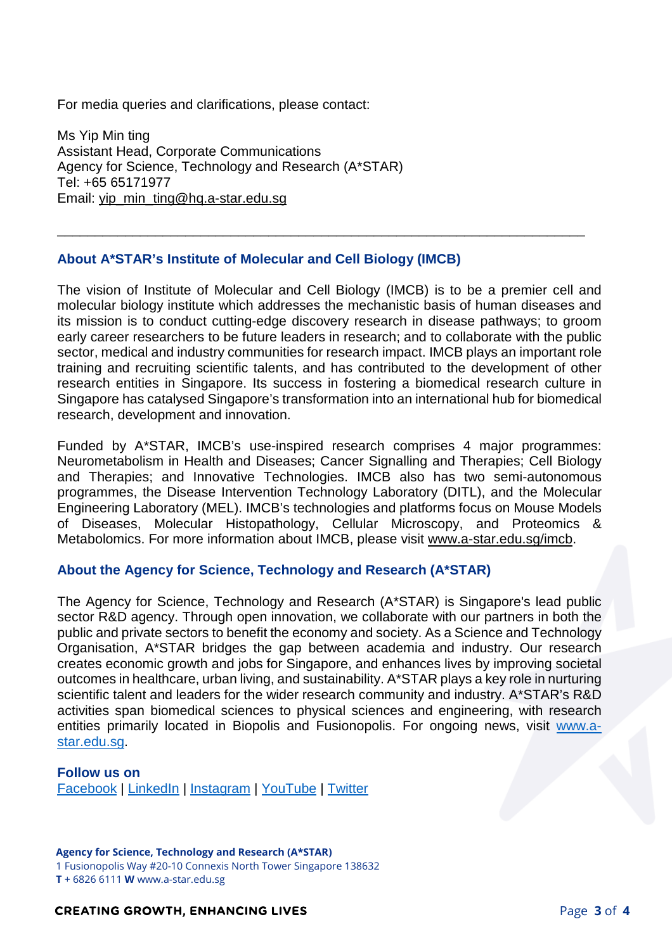For media queries and clarifications, please contact:

Ms Yip Min ting Assistant Head, Corporate Communications Agency for Science, Technology and Research (A\*STAR) Tel: +65 65171977 Email: [yip\\_min\\_ting@hq.a-star.edu.sg](mailto:yip_min_ting@hq.a-star.edu.sg)

## **About A\*STAR's Institute of Molecular and Cell Biology (IMCB)**

The vision of Institute of Molecular and Cell Biology (IMCB) is to be a premier cell and molecular biology institute which addresses the mechanistic basis of human diseases and its mission is to conduct cutting-edge discovery research in disease pathways; to groom early career researchers to be future leaders in research; and to collaborate with the public sector, medical and industry communities for research impact. IMCB plays an important role training and recruiting scientific talents, and has contributed to the development of other research entities in Singapore. Its success in fostering a biomedical research culture in Singapore has catalysed Singapore's transformation into an international hub for biomedical research, development and innovation.

\_\_\_\_\_\_\_\_\_\_\_\_\_\_\_\_\_\_\_\_\_\_\_\_\_\_\_\_\_\_\_\_\_\_\_\_\_\_\_\_\_\_\_\_\_\_\_\_\_\_\_\_\_\_\_\_\_\_\_\_\_\_\_\_\_\_\_\_\_\_

Funded by A\*STAR, IMCB's use-inspired research comprises 4 major programmes: Neurometabolism in Health and Diseases; Cancer Signalling and Therapies; Cell Biology and Therapies; and Innovative Technologies. IMCB also has two semi-autonomous programmes, the Disease Intervention Technology Laboratory (DITL), and the Molecular Engineering Laboratory (MEL). IMCB's technologies and platforms focus on Mouse Models of Diseases, Molecular Histopathology, Cellular Microscopy, and Proteomics & Metabolomics. For more information about IMCB, please visit [www.a-star.edu.sg/imcb.](http://www.a-star.edu.sg/imcb)

## **About the Agency for Science, Technology and Research (A\*STAR)**

The Agency for Science, Technology and Research (A\*STAR) is Singapore's lead public sector R&D agency. Through open innovation, we collaborate with our partners in both the public and private sectors to benefit the economy and society. As a Science and Technology Organisation, A\*STAR bridges the gap between academia and industry. Our research creates economic growth and jobs for Singapore, and enhances lives by improving societal outcomes in healthcare, urban living, and sustainability. A\*STAR plays a key role in nurturing scientific talent and leaders for the wider research community and industry. A\*STAR's R&D activities span biomedical sciences to physical sciences and engineering, with research entities primarily located in Biopolis and Fusionopolis. For ongoing news, visit [www.a](http://www.a-star.edu.sg/)[star.edu.sg.](http://www.a-star.edu.sg/)

#### **Follow us on**

[Facebook](https://www.facebook.com/ASTARSG/) | [LinkedIn](https://www.linkedin.com/company/astarsg/) | [Instagram](https://www.instagram.com/astarsg/) | [YouTube](https://www.youtube.com/astartv) | [Twitter](https://twitter.com/astarsg)

#### **Agency for Science, Technology and Research (A\*STAR)**

1 Fusionopolis Way #20-10 Connexis North Tower Singapore 138632

**T** + 6826 6111 **W** www.a-star.edu.sg

## **CREATING GROWTH, ENHANCING LIVES**